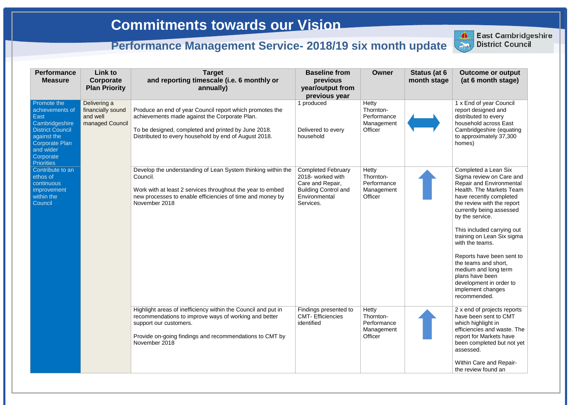| <b>Performance</b><br><b>Measure</b>                                                                                                                  | Link to<br>Corporate<br><b>Plan Priority</b>                     | <b>Target</b><br>and reporting timescale (i.e. 6 monthly or<br>annually)                                                                                                                                                     | <b>Baseline from</b><br>previous<br>year/output from<br>previous year                                                           | <b>Owner</b>                                                      | Status (at 6<br>month stage | <b>Outcome or output</b><br>(at 6 month stage)                                                                                                                                                                                                                                                                                                                                                                                                                         |
|-------------------------------------------------------------------------------------------------------------------------------------------------------|------------------------------------------------------------------|------------------------------------------------------------------------------------------------------------------------------------------------------------------------------------------------------------------------------|---------------------------------------------------------------------------------------------------------------------------------|-------------------------------------------------------------------|-----------------------------|------------------------------------------------------------------------------------------------------------------------------------------------------------------------------------------------------------------------------------------------------------------------------------------------------------------------------------------------------------------------------------------------------------------------------------------------------------------------|
| Promote the<br>achievements of<br>East<br>Cambridgeshire<br><b>District Council</b><br>against the<br><b>Corporate Plan</b><br>and wider<br>Corporate | Delivering a<br>financially sound<br>and well<br>managed Council | Produce an end of year Council report which promotes the<br>achievements made against the Corporate Plan.<br>To be designed, completed and printed by June 2018.<br>Distributed to every household by end of August 2018.    | 1 produced<br>Delivered to every<br>household                                                                                   | <b>Hetty</b><br>Thornton-<br>Performance<br>Management<br>Officer |                             | 1 x End of year Council<br>report designed and<br>distributed to every<br>household across East<br>Cambridgeshire (equating<br>to approximately 37,300<br>homes)                                                                                                                                                                                                                                                                                                       |
| <b>Priorities</b><br>Contribute to an<br>ethos of<br>continuous<br>improvement<br>within the<br>Council                                               |                                                                  | Develop the understanding of Lean System thinking within the<br>Council.<br>Work with at least 2 services throughout the year to embed<br>new processes to enable efficiencies of time and money by<br>November 2018         | <b>Completed February</b><br>2018- worked with<br>Care and Repair,<br><b>Building Control and</b><br>Environmental<br>Services. | Hetty<br>Thornton-<br>Performance<br>Management<br>Officer        |                             | Completed a Lean Six<br>Sigma review on Care and<br><b>Repair and Environmental</b><br>Health. The Markets Team<br>have recently completed<br>the review with the report<br>currently being assessed<br>by the service.<br>This included carrying out<br>training on Lean Six sigma<br>with the teams.<br>Reports have been sent to<br>the teams and short,<br>medium and long term<br>plans have been<br>development in order to<br>implement changes<br>recommended. |
|                                                                                                                                                       |                                                                  | Highlight areas of inefficiency within the Council and put in<br>recommendations to improve ways of working and better<br>support our customers.<br>Provide on-going findings and recommendations to CMT by<br>November 2018 | Findings presented to<br><b>CMT- Efficiencies</b><br>identified                                                                 | Hetty<br>Thornton-<br>Performance<br>Management<br>Officer        |                             | 2 x end of projects reports<br>have been sent to CMT<br>which highlight in<br>efficiencies and waste. The<br>report for Markets have<br>been completed but not yet<br>assessed.<br>Within Care and Repair-<br>the review found an                                                                                                                                                                                                                                      |



**East Cambridgeshire District Council**

**East Cambridgeshire** 

## **Commitments towards our Vision**

## **Performance Management Service- 2018/19 six month update District Council**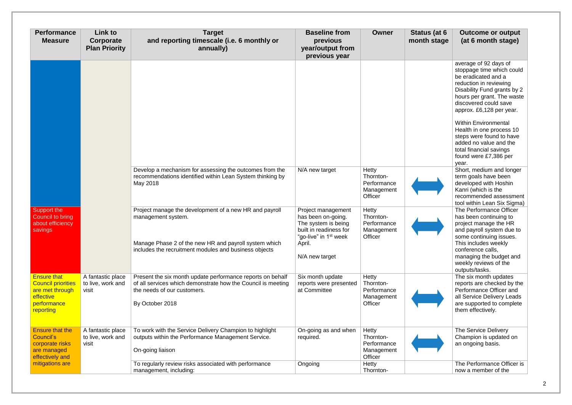| <b>Performance</b><br><b>Measure</b>                                                                        | Link to<br>Corporate<br><b>Plan Priority</b>    | <b>Target</b><br>and reporting timescale (i.e. 6 monthly or<br>annually)                                                                                                                       | <b>Baseline from</b><br>previous<br>year/output from<br>previous year                                                                                      | <b>Owner</b>                                               | Status (at 6<br>month stage | <b>Outcome or output</b><br>(at 6 month stage)                                                                                                                                                                                                                                                                                                                                                      |
|-------------------------------------------------------------------------------------------------------------|-------------------------------------------------|------------------------------------------------------------------------------------------------------------------------------------------------------------------------------------------------|------------------------------------------------------------------------------------------------------------------------------------------------------------|------------------------------------------------------------|-----------------------------|-----------------------------------------------------------------------------------------------------------------------------------------------------------------------------------------------------------------------------------------------------------------------------------------------------------------------------------------------------------------------------------------------------|
|                                                                                                             |                                                 |                                                                                                                                                                                                |                                                                                                                                                            |                                                            |                             | average of 92 days of<br>stoppage time which could<br>be eradicated and a<br>reduction in reviewing<br>Disability Fund grants by 2<br>hours per grant. The waste<br>discovered could save<br>approx. £6,128 per year.<br><b>Within Environmental</b><br>Health in one process 10<br>steps were found to have<br>added no value and the<br>total financial savings<br>found were £7,386 per<br>year. |
|                                                                                                             |                                                 | Develop a mechanism for assessing the outcomes from the<br>recommendations identified within Lean System thinking by<br>May 2018                                                               | N/A new target                                                                                                                                             | Hetty<br>Thornton-<br>Performance<br>Management<br>Officer |                             | Short, medium and longer<br>term goals have been<br>developed with Hoshin<br>Kanri (which is the<br>recommended assessment<br>tool within Lean Six Sigma)                                                                                                                                                                                                                                           |
| Support the<br>Council to bring<br>about efficiency<br>savings                                              |                                                 | Project manage the development of a new HR and payroll<br>management system.<br>Manage Phase 2 of the new HR and payroll system which<br>includes the recruitment modules and business objects | Project management<br>has been on-going.<br>The system is being<br>built in readiness for<br>"go-live" in 1 <sup>st</sup> week<br>April.<br>N/A new target | Hetty<br>Thornton-<br>Performance<br>Management<br>Officer |                             | The Performance Officer<br>has been continuing to<br>project manage the HR<br>and payroll system due to<br>some continuing issues.<br>This includes weekly<br>conference calls,<br>managing the budget and<br>weekly reviews of the<br>outputs/tasks.                                                                                                                                               |
| <b>Ensure that</b><br><b>Council priorities</b><br>are met through<br>effective<br>performance<br>reporting | A fantastic place<br>to live, work and<br>visit | Present the six month update performance reports on behalf<br>of all services which demonstrate how the Council is meeting<br>the needs of our customers.<br>By October 2018                   | Six month update<br>reports were presented<br>at Committee                                                                                                 | Hetty<br>Thornton-<br>Performance<br>Management<br>Officer |                             | The six month updates<br>reports are checked by the<br>Performance Officer and<br>all Service Delivery Leads<br>are supported to complete<br>them effectively.                                                                                                                                                                                                                                      |
| <b>Ensure that the</b><br>Council's<br>corporate risks<br>are managed<br>effectively and                    | A fantastic place<br>to live, work and<br>visit | To work with the Service Delivery Champion to highlight<br>outputs within the Performance Management Service.<br>On-going liaison                                                              | On-going as and when<br>required.                                                                                                                          | Hetty<br>Thornton-<br>Performance<br>Management<br>Officer |                             | The Service Delivery<br>Champion is updated on<br>an ongoing basis.                                                                                                                                                                                                                                                                                                                                 |
| mitigations are                                                                                             |                                                 | To regularly review risks associated with performance<br>management, including:                                                                                                                | Ongoing                                                                                                                                                    | Hetty<br>Thornton-                                         |                             | The Performance Officer is<br>now a member of the                                                                                                                                                                                                                                                                                                                                                   |